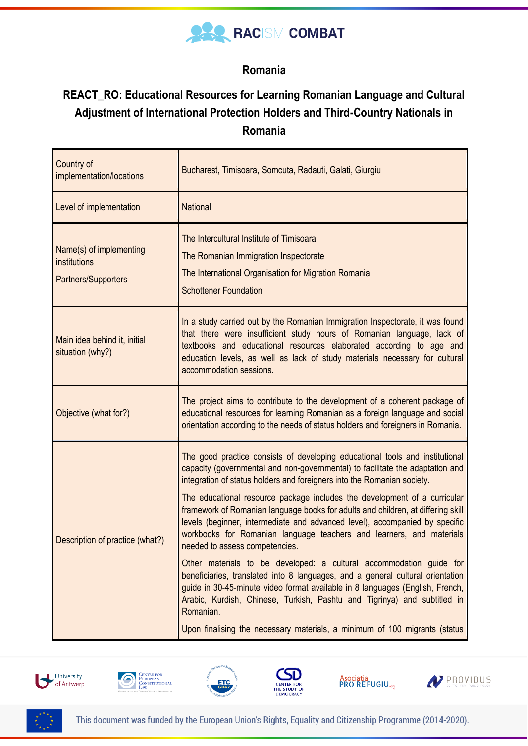

## **Romania**

## **REACT\_RO: Educational Resources for Learning Romanian Language and Cultural Adjustment of International Protection Holders and Third-Country Nationals in Romania**

| Country of<br>implementation/locations                         | Bucharest, Timisoara, Somcuta, Radauti, Galati, Giurgiu                                                                                                                                                                                                                                                                                                |
|----------------------------------------------------------------|--------------------------------------------------------------------------------------------------------------------------------------------------------------------------------------------------------------------------------------------------------------------------------------------------------------------------------------------------------|
| Level of implementation                                        | <b>National</b>                                                                                                                                                                                                                                                                                                                                        |
| Name(s) of implementing<br>institutions<br>Partners/Supporters | The Intercultural Institute of Timisoara<br>The Romanian Immigration Inspectorate<br>The International Organisation for Migration Romania<br><b>Schottener Foundation</b>                                                                                                                                                                              |
| Main idea behind it, initial<br>situation (why?)               | In a study carried out by the Romanian Immigration Inspectorate, it was found<br>that there were insufficient study hours of Romanian language, lack of<br>textbooks and educational resources elaborated according to age and<br>education levels, as well as lack of study materials necessary for cultural<br>accommodation sessions.               |
| Objective (what for?)                                          | The project aims to contribute to the development of a coherent package of<br>educational resources for learning Romanian as a foreign language and social<br>orientation according to the needs of status holders and foreigners in Romania.                                                                                                          |
| Description of practice (what?)                                | The good practice consists of developing educational tools and institutional<br>capacity (governmental and non-governmental) to facilitate the adaptation and<br>integration of status holders and foreigners into the Romanian society.                                                                                                               |
|                                                                | The educational resource package includes the development of a curricular<br>framework of Romanian language books for adults and children, at differing skill<br>levels (beginner, intermediate and advanced level), accompanied by specific<br>workbooks for Romanian language teachers and learners, and materials<br>needed to assess competencies. |
|                                                                | Other materials to be developed: a cultural accommodation guide for<br>beneficiaries, translated into 8 languages, and a general cultural orientation<br>guide in 30-45-minute video format available in 8 languages (English, French,<br>Arabic, Kurdish, Chinese, Turkish, Pashtu and Tigrinya) and subtitled in<br>Romanian.                        |
|                                                                | Upon finalising the necessary materials, a minimum of 100 migrants (status                                                                                                                                                                                                                                                                             |













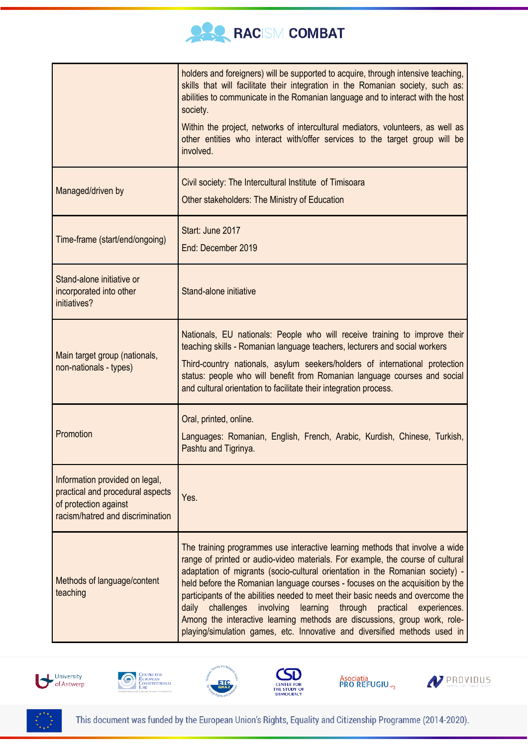

|                                                                                                                                 | holders and foreigners) will be supported to acquire, through intensive teaching,<br>skills that will facilitate their integration in the Romanian society, such as:<br>abilities to communicate in the Romanian language and to interact with the host<br>society.<br>Within the project, networks of intercultural mediators, volunteers, as well as<br>other entities who interact with/offer services to the target group will be<br>involved.                                                                                                                                                                                                              |
|---------------------------------------------------------------------------------------------------------------------------------|-----------------------------------------------------------------------------------------------------------------------------------------------------------------------------------------------------------------------------------------------------------------------------------------------------------------------------------------------------------------------------------------------------------------------------------------------------------------------------------------------------------------------------------------------------------------------------------------------------------------------------------------------------------------|
| Managed/driven by                                                                                                               | Civil society: The Intercultural Institute of Timisoara<br>Other stakeholders: The Ministry of Education                                                                                                                                                                                                                                                                                                                                                                                                                                                                                                                                                        |
| Time-frame (start/end/ongoing)                                                                                                  | Start: June 2017<br>End: December 2019                                                                                                                                                                                                                                                                                                                                                                                                                                                                                                                                                                                                                          |
| Stand-alone initiative or<br>incorporated into other<br>initiatives?                                                            | Stand-alone initiative                                                                                                                                                                                                                                                                                                                                                                                                                                                                                                                                                                                                                                          |
| Main target group (nationals,<br>non-nationals - types)                                                                         | Nationals, EU nationals: People who will receive training to improve their<br>teaching skills - Romanian language teachers, lecturers and social workers<br>Third-country nationals, asylum seekers/holders of international protection<br>status: people who will benefit from Romanian language courses and social<br>and cultural orientation to facilitate their integration process.                                                                                                                                                                                                                                                                       |
| Promotion                                                                                                                       | Oral, printed, online.<br>Languages: Romanian, English, French, Arabic, Kurdish, Chinese, Turkish,<br>Pashtu and Tigrinya.                                                                                                                                                                                                                                                                                                                                                                                                                                                                                                                                      |
| Information provided on legal,<br>practical and procedural aspects<br>of protection against<br>racism/hatred and discrimination | Yes.                                                                                                                                                                                                                                                                                                                                                                                                                                                                                                                                                                                                                                                            |
| Methods of language/content<br>teaching                                                                                         | The training programmes use interactive learning methods that involve a wide<br>range of printed or audio-video materials. For example, the course of cultural<br>adaptation of migrants (socio-cultural orientation in the Romanian society) -<br>held before the Romanian language courses - focuses on the acquisition by the<br>participants of the abilities needed to meet their basic needs and overcome the<br>daily<br>challenges involving<br>learning<br>through<br>practical experiences.<br>Among the interactive learning methods are discussions, group work, role-<br>playing/simulation games, etc. Innovative and diversified methods used in |













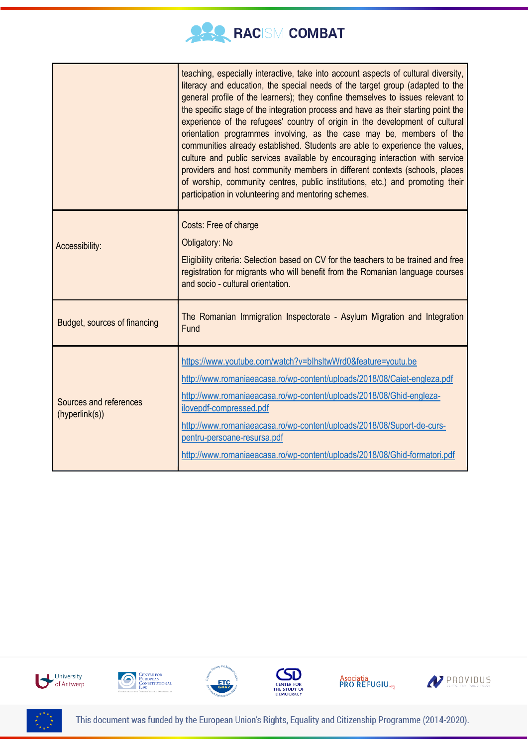

|                                          | teaching, especially interactive, take into account aspects of cultural diversity,<br>literacy and education, the special needs of the target group (adapted to the<br>general profile of the learners); they confine themselves to issues relevant to<br>the specific stage of the integration process and have as their starting point the<br>experience of the refugees' country of origin in the development of cultural<br>orientation programmes involving, as the case may be, members of the<br>communities already established. Students are able to experience the values,<br>culture and public services available by encouraging interaction with service<br>providers and host community members in different contexts (schools, places<br>of worship, community centres, public institutions, etc.) and promoting their<br>participation in volunteering and mentoring schemes. |
|------------------------------------------|-----------------------------------------------------------------------------------------------------------------------------------------------------------------------------------------------------------------------------------------------------------------------------------------------------------------------------------------------------------------------------------------------------------------------------------------------------------------------------------------------------------------------------------------------------------------------------------------------------------------------------------------------------------------------------------------------------------------------------------------------------------------------------------------------------------------------------------------------------------------------------------------------|
| Accessibility:                           | Costs: Free of charge<br>Obligatory: No<br>Eligibility criteria: Selection based on CV for the teachers to be trained and free<br>registration for migrants who will benefit from the Romanian language courses<br>and socio - cultural orientation.                                                                                                                                                                                                                                                                                                                                                                                                                                                                                                                                                                                                                                          |
| Budget, sources of financing             | The Romanian Immigration Inspectorate - Asylum Migration and Integration<br>Fund                                                                                                                                                                                                                                                                                                                                                                                                                                                                                                                                                                                                                                                                                                                                                                                                              |
| Sources and references<br>(hyperlink(s)) | https://www.youtube.com/watch?v=blhsltwWrd0&feature=youtu.be<br>http://www.romaniaeacasa.ro/wp-content/uploads/2018/08/Caiet-engleza.pdf<br>http://www.romaniaeacasa.ro/wp-content/uploads/2018/08/Ghid-engleza-<br>ilovepdf-compressed.pdf<br>http://www.romaniaeacasa.ro/wp-content/uploads/2018/08/Suport-de-curs-<br>pentru-persoane-resursa.pdf<br>http://www.romaniaeacasa.ro/wp-content/uploads/2018/08/Ghid-formatori.pdf                                                                                                                                                                                                                                                                                                                                                                                                                                                             |









Asociatia<br>PRO REFUGIU.<sub>«3</sub>





This document was funded by the European Union's Rights, Equality and Citizenship Programme (2014-2020).